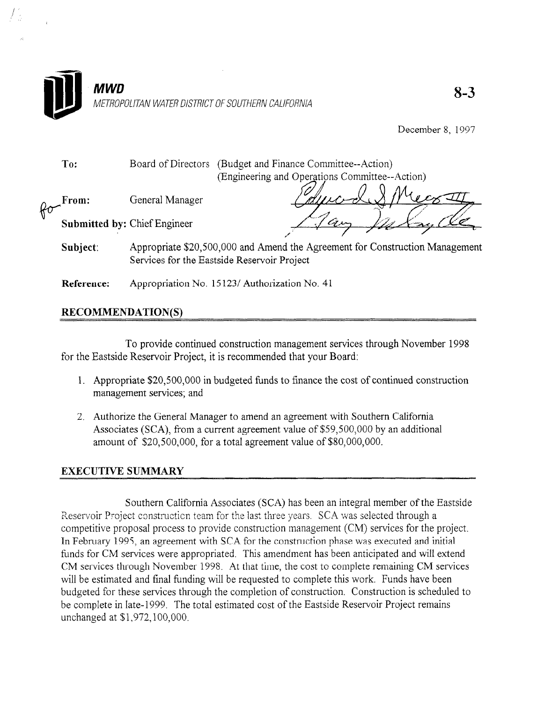

December 8, 1997

To: Board of Directors (Budget and Finance Committee--Action) (Engineering and Operations Committee--Action)

 $\n *R* \n *σ*\n$ From: General Manager

/ ,'

Submitted by: Chief Engineer

- Subject: Appropriate \$20,500,000 and Amend the Agreement for Construction Management Services for the Eastside Reservoir Project
- Reference: Appropriation No. 15 123/ Authorization No. 41

## RECOMMENDATION(S)

To provide continued construction management services through November 1998 for the Eastside Reservoir Project, it is recommended that your Board:

- $1.$  Appropriate  $1.500$  in budgets to finance the cost of continued continued continued continued continued continued continued continued continued continued continued continued continued continued continued continued co  $\Delta$ ppropriate  $220,500,0001$
- Authorize the General Manager to amend an agreement with Southern Camorina Associates (SCA), from a current agreement value of \$59,500,000 by an additional amount of \$20,500,000, for a total agreement value of \$80,000,000.

Southern California Associates (SCA) has been an integral member of the Eastside Reservoir Project construction team for the last three years. SCA was selected through a competitive proposal process to provide construction management  $(CM)$  services for the project. In February 1995, an agreement with SCA for the construction phase was executed and initial funds for CM services were appropriated. This amendment has been anticipated and will extend CM services through November 1998. At that time, the cost to complete remaining CM services will be estimated and final funding will be requested to complete this work. Funds have been budgeted for these services through the completion of construction. Construction is scheduled to be complete in late-1999. The total estimated cost of the Eastside Reservoir Project remains unchanged at \$1,972,100,000.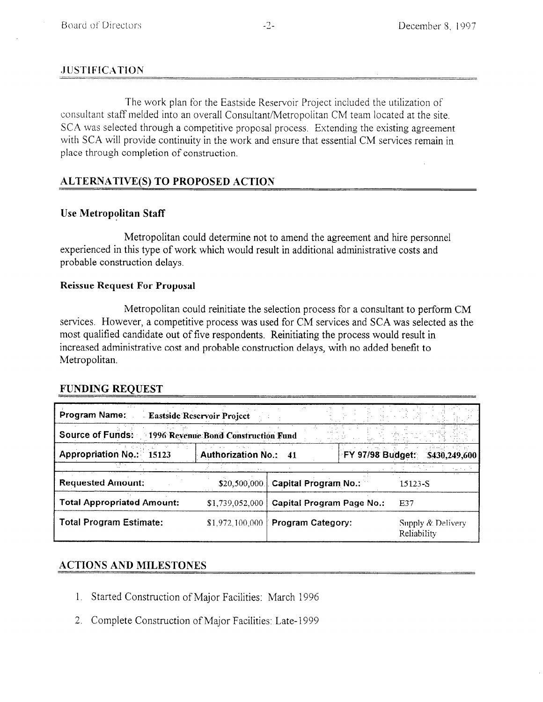## **JUSTIFICATION**

The work plan for the Eastside Reservoir Project included the utilization of consultant staff melded into an overall Consultant/Metropolitan CM team located at the site, SCA was selected through a competitive proposal process. Extending the existing agreement with SCA will provide continuity in the work and ensure that essential CM services remain in place through completion of construction.

# ALTERNATIVE(S) TO PROPOSED ACTION

## Use Metropolitan Staff

Metropolitan could determine not to amend the agreement and hire personnel experienced in this type of work which would result in additional administrative costs and probable construction delays.

## Reissue Request For Proposal

Metropolitan could reinitiate the selection process for a consultant to perform CM services. However, a competitive process was used for CM services and SCA was selected as the most qualified candidate out of five respondents. Reinitiating the process would result in increased administrative cost and probable construction delays, with no added benefit to Metropolitan.

## FUNDING REQUEST

| <b>Program Name:</b>               | <b>Eastside Reservoir Project</b>   |                                  |                         |                                  |
|------------------------------------|-------------------------------------|----------------------------------|-------------------------|----------------------------------|
| <b>Source of Funds:</b>            | 1996 Revenue Bond Construction Fund |                                  |                         |                                  |
| <b>Appropriation No.:</b><br>15123 | <b>Authorization No.:</b>           | 41                               | <b>FY 97/98 Budget:</b> | \$430,249,600                    |
|                                    |                                     |                                  |                         |                                  |
| <b>Requested Amount:</b>           | \$20,500,000                        | <b>Capital Program No.:</b>      |                         | 15123-S                          |
| <b>Total Appropriated Amount:</b>  | \$1,739,052,000                     | <b>Capital Program Page No.:</b> |                         | E37                              |
| <b>Total Program Estimate:</b>     | \$1,972,100,000                     | Program Category:                |                         | Supply & Delivery<br>Reliability |

## ACTIONS AND MILESTONES

- 1. Started Construction of Major Facilities: March 1996
- 2. Complete Construction of Major Facilities: Late- 1999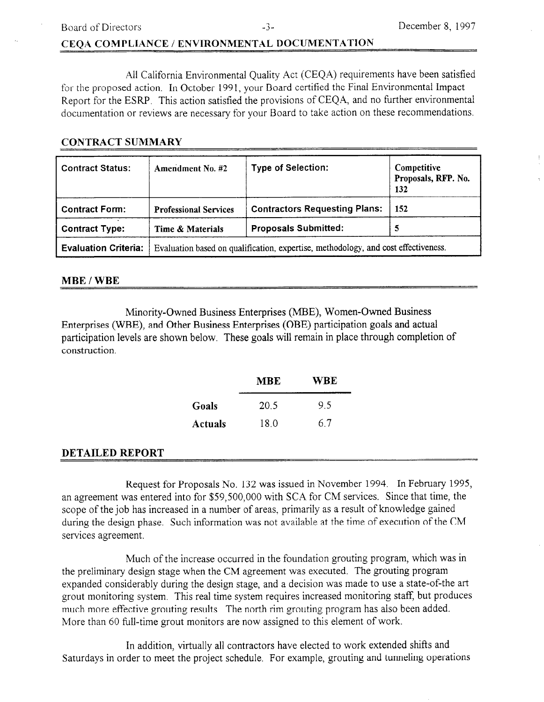Board of Directors **-3-**  $-3$ - December 8, 1997

## CEQA COMPLIANCE / ENVIRONMENTAL DOCUMENTATlON

All California Environmental Quality Act (CEQA) requirements have been satisfied for the proposed action. In October 1991, your Board certified the Final Environmental Impact Report for the ESRP. This action satisfied the provisions of CEQA, and no tirther environmental documentation or reviews are necessary for your Board to take action on these recommendations.

## CONTRACT SUMMARY

| <b>Contract Status:</b>     | <b>Amendment No. #2</b>                                                            | <b>Type of Selection:</b>            | Competitive<br>Proposals, RFP. No.<br>132 |
|-----------------------------|------------------------------------------------------------------------------------|--------------------------------------|-------------------------------------------|
| <b>Contract Form:</b>       | <b>Professional Services</b>                                                       | <b>Contractors Requesting Plans:</b> | 152                                       |
| <b>Contract Type:</b>       | Time & Materials                                                                   | <b>Proposals Submitted:</b>          | 5                                         |
| <b>Evaluation Criteria:</b> | Evaluation based on qualification, expertise, methodology, and cost effectiveness. |                                      |                                           |

### MBE / WBE

Minority-Owned Business Enterprises (MBE), Women-Owned Business Enterprises (WBE), and Other Business Enterprises (OBE) participation goals and actual participation levels are shown below. These goals will remain in place through completion of construction.

| MBE     |      | WBE |  |
|---------|------|-----|--|
| Goals   | 20.5 | 95  |  |
| Actuals | 18.0 | 67  |  |

### DETAILED REPORT

Request for Proposals No. 132 was issued in November 1994. In February 1995, an agreement was entered into for \$59,500,000 with SCA for CM services. Since that time, the scope of the job has increased in a number of areas, primarily as a result of knowledge gained during the design phase. Such information was not available at the time of execution of the CM services agreement.

Much of the increase occurred in the foundation grouting program, which was in the preliminary design stage when the CM agreement was executed. The grouting program expanded considerably during the design stage, and a decision was made to use a state-of-the art grout monitoring system, This real time system requires increased monitoring staff, but produces much more effective grouting results. The north rim grouting program has also been added. More than 60 full-time grout monitors are now assigned to this element of work.

In addition, virtually all contractors have elected to work extended shifts and Saturdays in order to meet the project schedule. For example, grouting and tunneling operations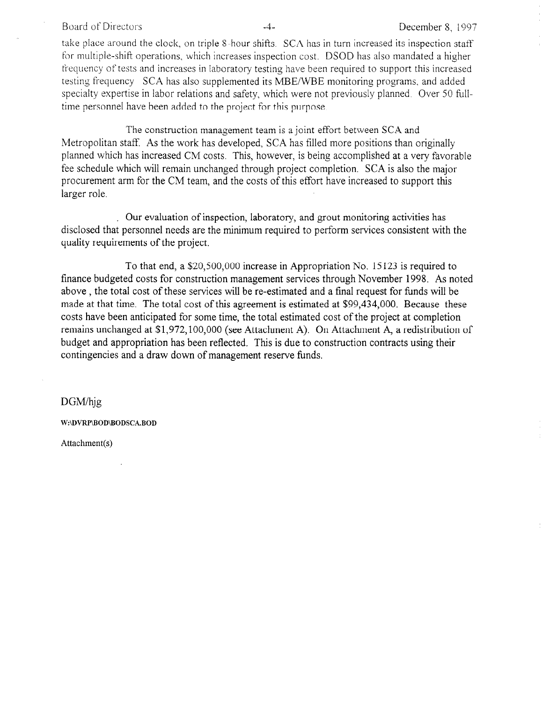#### Board of Directors **-4** - **December 8, 1997**

take place around the clock, on triple S-hour shifts. SCA has in turn increased its inspection staff for multiple-shift operations, which increases inspection cost. DSOD has also mandated a higher trequency of tests and increases in laboratory testing have been required to support this increased testing frequency SCA has also supplemented its MBE/WBE monitoring programs, and added specialty expertise in labor relations and safety, which were not previously planned. Over 50 fulltime personnel have been added to the project for this purpose.

The construction management team is a joint effort between SCA and Metropolitan staff. As the work has developed, SCA has filled more positions than originally planned which has increased CM costs. This, however, is being accomplished at a very favorable fee schedule which will remain unchanged through project completion. SCA is also the major procurement arm for the CM team, and the costs of this effort have increased to support this larger role.

Our evaluation of inspection, laboratory, and grout monitoring activities has disclosed that personnel needs are the minimum required to perform services consistent with the quality requirements of the project.

To that end, a \$20,500,000 increase in Appropriation No. 15 123 is required to finance budgeted costs for construction management services through November 1998. As noted above, the total cost of these services will be re-estimated and a final request for funds will be made at that time. The total cost of this agreement is estimated at \$99,434,000. Because these costs have been anticipated for some time, the total estimated cost of the project at completion remains unchanged at \$1,972,100,000 (see Attachment A). On Attachment A, a redistribution of budget and appropriation has been reflected. This is due to construction contracts using their contingencies and a draw down of management reserve funds.

DGM/hjg

W:\DVRP\BOD\BODSCA.BOD

Attachment(s)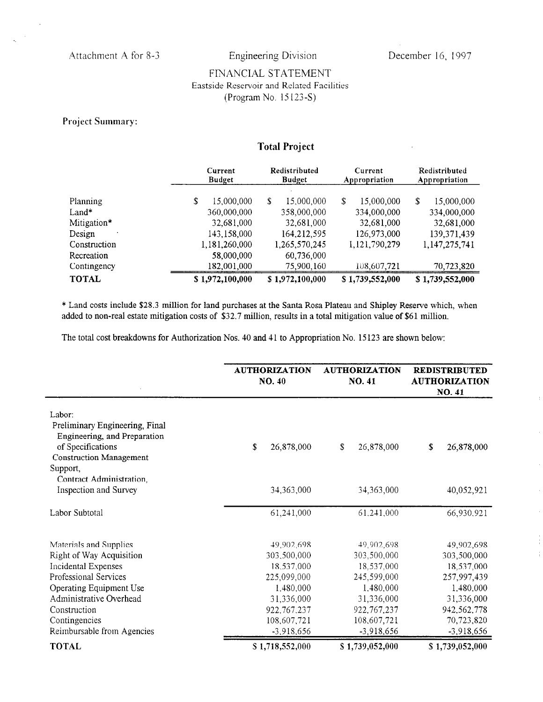$\bar{q}$ 

J.

## FINANCIAL STATEMENT Eastside Reservoir and Related Facilities (Program No. 15 133-S)

### Project Summary:

# Total Project

|              | Current<br><b>Budget</b> | Redistributed<br><b>Budget</b> | Current<br>Appropriation | Redistributed<br>Appropriation |
|--------------|--------------------------|--------------------------------|--------------------------|--------------------------------|
| Planning     | \$<br>15,000,000         | \$<br>15,000,000               | \$.<br>15,000,000        | \$<br>15,000,000               |
| $Land*$      | 360,000,000              | 358,000,000                    | 334,000,000              | 334,000,000                    |
| Mitigation*  | 32,681,000               | 32,681,000                     | 32,681,000               | 32,681,000                     |
| Design       | 143,158,000              | 164,212,595                    | 126,973,000              | 139, 371, 439                  |
| Construction | 1,181,260,000            | 1,265,570,245                  | 1,121,790,279            | 1,147,275,741                  |
| Recreation   | 58,000,000               | 60,736,000                     |                          |                                |
| Contingency  | 182,001,000              | 75,900,160                     | 108,607,721              | 70,723,820                     |
| <b>TOTAL</b> | \$1,972,100,000          | \$1,972,100,000                | \$1,739,552,000          | \$1,739,552,000                |

\* Land costs include \$28.3 million for land purchases at the Santa Rosa Plateau and Shipley Reserve which, when added to non-real estate mitigation costs of \$32.7 million, results in a total mitigation value of \$61 million.

The total cost breakdowns for Authorization Nos. 40 and 41 to Appropriation No. 15123 are shown below:

|                                                                                                                                             | <b>AUTHORIZATION</b><br>NO. 40 | <b>AUTHORIZATION</b><br>NO. 41 | <b>REDISTRIBUTED</b><br><b>AUTHORIZATION</b><br>NO. 41 |
|---------------------------------------------------------------------------------------------------------------------------------------------|--------------------------------|--------------------------------|--------------------------------------------------------|
| Labor:<br>Preliminary Engineering, Final<br>Engineering, and Preparation<br>of Specifications<br><b>Construction Management</b><br>Support, | S<br>26,878,000                | \$<br>26,878,000               | \$<br>26,878,000                                       |
| Contract Administration,<br><b>Inspection and Survey</b>                                                                                    | 34,363,000                     | 34,363,000                     | 40,052,921                                             |
| Labor Subtotal                                                                                                                              | 61,241,000                     | 61,241,000                     | 66,930.921                                             |
| Materials and Supplies                                                                                                                      | 49,902,698                     | 49,902,698                     | 49,902,698                                             |
| Right of Way Acquisition<br>Incidental Expenses                                                                                             | 303,500,000<br>18,537,000      | 303,500,000<br>18,537,000      | 303,500,000<br>18,537,000                              |
| Professional Services                                                                                                                       | 225,099,000                    | 245,599,000                    | 257,997,439                                            |
| Operating Equipment Use                                                                                                                     | 1,480,000                      | 1,480,000                      | 1,480,000                                              |
| Administrative Overhead                                                                                                                     | 31,336,000                     | 31,336,000                     | 31,336,000                                             |
| Construction                                                                                                                                | 922, 767, 237                  | 922, 767, 237                  | 942,562,778                                            |
| Contingencies                                                                                                                               | 108,607,721                    | 108,607,721                    | 70,723,820                                             |
| Reimbursable from Agencies                                                                                                                  | $-3,918,656$                   | $-3,918,656$                   | $-3,918,656$                                           |
| <b>TOTAL</b>                                                                                                                                | S 1,718,552,000                | \$1,739,052,000                | \$1,739,052,000                                        |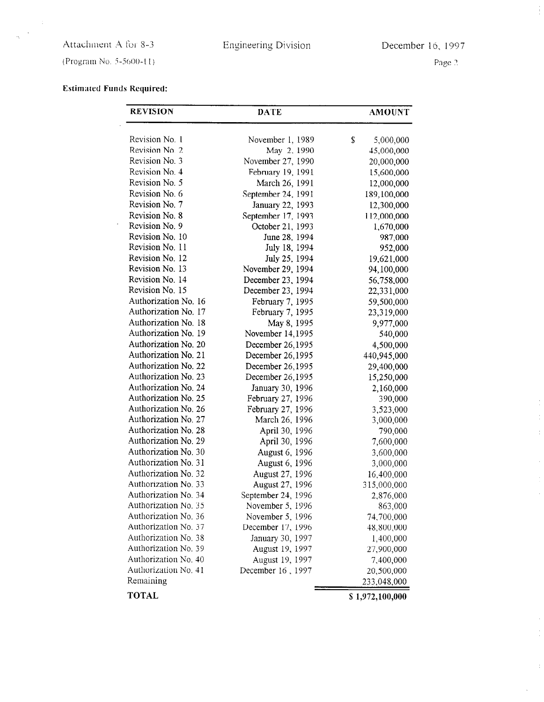# Attachment A for 8-3

 $\bar{z}$  $\bar{\mathcal{A}}$  $\mathcal{L}_{\mathbf{t}}$ 

Engineering Division December 16, 1997

(Program No. 5-5600-11)

Page 2

÷.

 $\bar{z}$ 

 $\frac{1}{3}$ 

# Estimated Funds Required:

| <b>REVISION</b>      | <b>DATE</b>        | <b>AMOUNT</b>   |
|----------------------|--------------------|-----------------|
| Revision No. 1       | November 1, 1989   | \$<br>5,000,000 |
| Revision No. 2       | May 2, 1990        | 45,000,000      |
| Revision No. 3       | November 27, 1990  | 20,000,000      |
| Revision No. 4       | February 19, 1991  | 15,600,000      |
| Revision No. 5       | March 26, 1991     | 12,000,000      |
| Revision No. 6       | September 24, 1991 | 189,100,000     |
| Revision No. 7       | January 22, 1993   | 12,300,000      |
| Revision No. 8       | September 17, 1993 | 112,000,000     |
| Revision No. 9       | October 21, 1993   | 1,670,000       |
| Revision No. 10      | June 28, 1994      | 987,000         |
| Revision No. 11      | July 18, 1994      | 952,000         |
| Revision No. 12      | July 25, 1994      | 19,621,000      |
| Revision No. 13      | November 29, 1994  | 94,100,000      |
| Revision No. 14      | December 23, 1994  | 56,758,000      |
| Revision No. 15      | December 23, 1994  | 22,331,000      |
| Authorization No. 16 | February 7, 1995   | 59,500,000      |
| Authorization No. 17 | February 7, 1995   | 23,319,000      |
| Authorization No. 18 | May 8, 1995        | 9,977,000       |
| Authorization No. 19 | November 14,1995   | 540,000         |
| Authorization No. 20 | December 26,1995   | 4,500,000       |
| Authorization No. 21 | December 26,1995   | 440,945,000     |
| Authorization No. 22 | December 26,1995   | 29,400,000      |
| Authorization No. 23 | December 26,1995   | 15,250,000      |
| Authorization No. 24 | January 30, 1996   | 2,160,000       |
| Authorization No. 25 | February 27, 1996  | 390,000         |
| Authorization No. 26 | February 27, 1996  | 3,523,000       |
| Authorization No. 27 | March 26, 1996     | 3,000,000       |
| Authorization No. 28 | April 30, 1996     | 790,000         |
| Authorization No. 29 | April 30, 1996     | 7,600,000       |
| Authorization No. 30 | August 6, 1996     | 3,600,000       |
| Authorization No. 31 | August 6, 1996     | 3,000,000       |
| Authorization No. 32 | August 27, 1996    | 16,400,000      |
| Authorization No. 33 | August 27, 1996    | 315,000,000     |
| Authorization No. 34 | September 24, 1996 | 2,876,000       |
| Authorization No. 35 | November 5, 1996   | 863,000         |
| Authorization No. 36 | November 5, 1996   | 74,700,000      |
| Authorization No. 37 | December 17, 1996  | 48,800,000      |
| Authorization No. 38 | January 30, 1997   | 1,400,000       |
| Authorization No. 39 | August 19, 1997    | 27,900,000      |
| Authorization No. 40 | August 19, 1997    | 7,400,000       |
| Authorization No. 41 | December 16, 1997  | 20,500,000      |
| Remaining            |                    | 233,048,000     |
| <b>TOTAL</b>         |                    | \$1,972,100,000 |